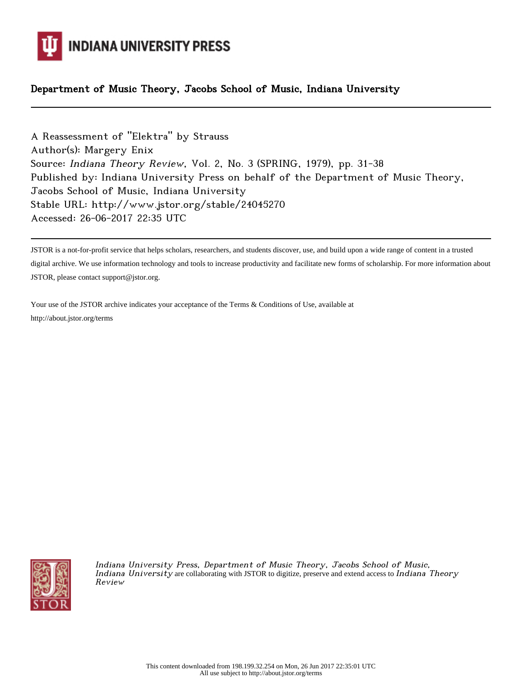

## Department of Music Theory, Jacobs School of Music, Indiana University

A Reassessment of "Elektra" by Strauss Author(s): Margery Enix Source: Indiana Theory Review, Vol. 2, No. 3 (SPRING, 1979), pp. 31-38 Published by: Indiana University Press on behalf of the Department of Music Theory, Jacobs School of Music, Indiana University Stable URL: http://www.jstor.org/stable/24045270 Accessed: 26-06-2017 22:35 UTC

JSTOR is a not-for-profit service that helps scholars, researchers, and students discover, use, and build upon a wide range of content in a trusted digital archive. We use information technology and tools to increase productivity and facilitate new forms of scholarship. For more information about JSTOR, please contact support@jstor.org.

Your use of the JSTOR archive indicates your acceptance of the Terms & Conditions of Use, available at http://about.jstor.org/terms



Indiana University Press, Department of Music Theory, Jacobs School of Music, Indiana University are collaborating with JSTOR to digitize, preserve and extend access to Indiana Theory Review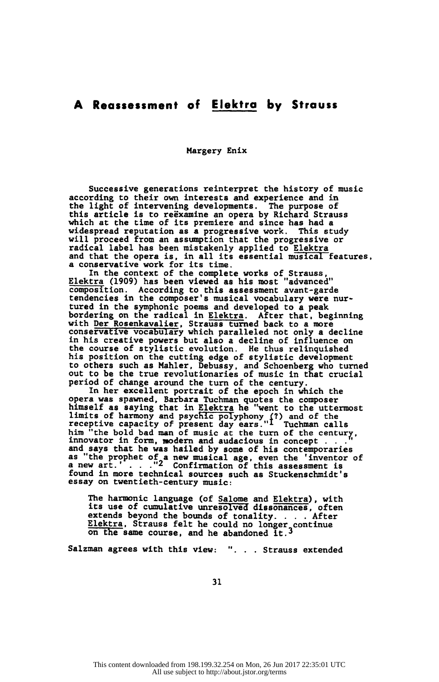## A Reassessment of Elektro by Strauss

Margery Enix

 Successive generations reinterpret the history of music according to their own interests and experience and in the light of intervening developments. The purpose of this article is to reexamine an opera by Richard Strauss which at the time of its premiere and since has had a widespread reputation as a progressive work. This study will proceed from an assumption that the progressive or radical label has been mistakenly applied to Elektra and that the opera is, in all its essential musical features, a conservative work for its time.

 In the context of the complete works of Strauss, Elektra (1909) has been viewed as his most "advanced" composition. According to this assessment avant-garde tendencies in the composer's musical vocabulary were nur tured in the symphonic poems and developed to a peak bordering on the radical in Elektra. After that, beginning with Der Rosenkavalier, Strauss turned back to a more conservative vocabulary which paralleled not only a decline in his creative powers but also a decline of influence on the course of stylistic evolution. He thus relinquished his position on the cutting edge of stylistic development to others such as Mahler, Debussy, and Schoenberg who turned out to be the true revolutionaries of music in that crucial period of change around the turn of the century.

 In her excellent portrait of the epoch in which the opera was spawned, Barbara Tuchman quotes the composer himself as saying that in Elektra he "went to the uttermost limits of harmony and psychic polyphony (?) and of the<br>receptive capacity of present day ears."I Tuchman calls<br>him which is a control of the sent of the sent of the sent of the sent of the sent of the sent of the sent of him "the bold bad man of music at the turn of the century,<br>innovator in form, modern and audacious in concept . ..." and says that he was hailed by some of his contemporaries as "the prophet of a new musical age, even the 'inventor of a new art.' . . . ."<sup>2</sup> Confirmation of this assessment is found in more technical sources such as Stuckenschmidt's essay on twentieth-century music:

 The harmonic language (of Salome and Elektra), with its use of cumulative unresolved dissonances, often extends beyond the bounds of tonality. . . . After Elektra. Strauss felt he could no longer continue on the same course, and he abandoned it.3

Salzman agrees with this view: "... Strauss extended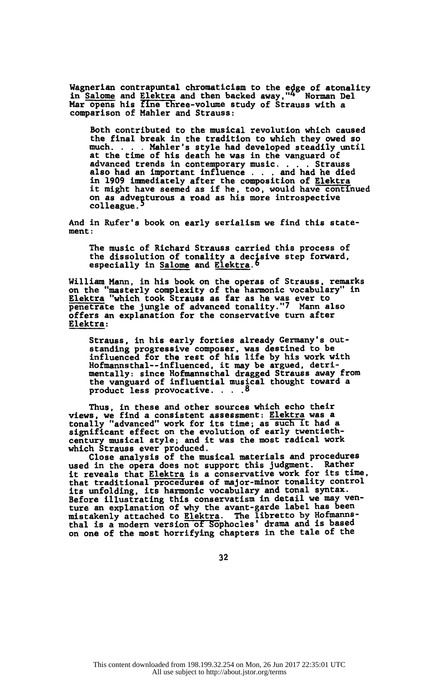Wagnerian contrapuntal chromaticism to the edge of atonality<br>in Salome and Elektra and then backed away,"4 Norman Del Mar opens his fine three-volume study of Strauss with a comparison of Mahler and Strauss:

 Both contributed to the musical revolution which caused the final break in the tradition to which they owed so much. . . . Mahler's style had developed steadily until at the time of his death he was in the vanguard of advanced trends in contemporary music. . . . Strauss also had an important influence . . . and had he died in 1909 immediately after the composition of Elektra it might have seemed as if he, too, would have continued on as adventurous a road as his more introspective colleague.

 And in Rufer's book on early serialism we find this state ment:

 The music of Richard Strauss carried this process of the dissolution of tonality a decisive step forward, especially in Salome and Elektra.<sup>6</sup>

 William Mann, in his book on the operas of Strauss, remarks on the "masterly complexity of the harmonic vocabulary" in Elektra "which took Strauss as far as he was ever to penetrate the jungle of advanced tonality."7 Mann also offers an explanation for the conservative turn after Elektra:

 Strauss, in his early forties already Germany's out standing progressive composer, was destined to be influenced for the rest of his life by his work with Hofmannsthai--influenced, it may be argued, detri mentally: since Hofmannsthal dragged Strauss away from the vanguard of influential musical thought toward a product less provocative. . . . 8

 Thus, in these and other sources which echo their views, we find a consistent assessment: Elektra was a tonally "advanced" work for its time; as such it had a significant effect on the evolution of early twentieth century musical style; and it was the most radical work which Strauss ever produced.

 Close analysis of the musical materials and procedures used in the opera does not support this judgment. Rather it reveals that Elektra is a conservative work for its time, that traditional procedures of major-minor tonality control its unfolding, its harmonic vocabulary and tonal syntax. Before illustrating this conservatism in detail we may ven ture an explanation of why the avant-garde label has been mistakenly attached to Elektra. The libretto by Hofmanns thal is a modern version of Sophocles' drama and is based on one of the most horrifying chapters in the tale of the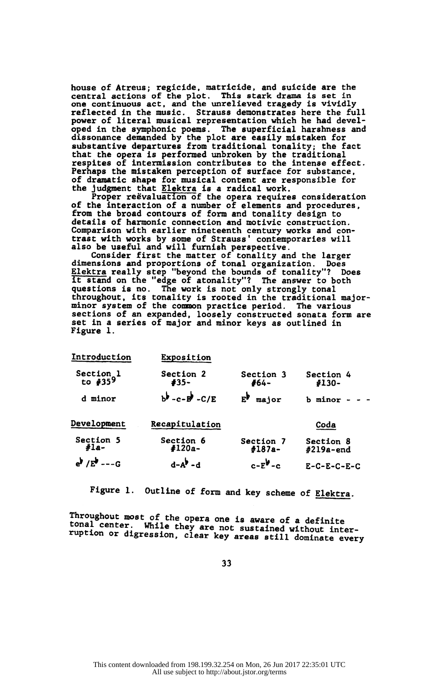house of Atreus; regicide, matricide, and suicide are the central actions of the plot. This stark drama is set in one continuous act, and the unrelieved tragedy is vividly reflected in the music. Strauss demonstrates here the full power of literal musical representation which he had devel oped in the symphonic poems. The superficial harshness and dissonance demanded by the plot are easily mistaken for substantive departures from traditional tonality; the fact that the opera is performed unbroken by the traditional respites of intermission contributes to the intense effect. Perhaps the mistaken perception of surface for substance, of dramatic shape for musical content are responsible for the judgment that Elektra is a radical work.

 Proper réévaluation of the opera requires consideration of the interaction of a number of elements and procedures,<br>from the broad contours of form and tonality design to from the broad contours of form and tonality design to details of harmonic connection and motivic construction. Comparison with earlier nineteenth century works and con trast with works by some of Strauss' contemporaries will also be useful and will furnish perspective.

Consider first the matter of tonality and the larger<br>dimensions and proportions of tonal organization. Does dimensions and proportions of tonal organization. Does Elektra really step "beyond the bounds of tonality"? Does<br>it stand on the "edge of atonality"? The answer to both<br>the stand on the "edge or all is allowed". questions is no. The work is not only strongly tonal throughout, its tonality is rooted in the traditional major minor system of the common practice period. The various sections of an expanded, loosely constructed sonata form are set in a series of major and minor keys as outlined in<br>Figure 1 Figure 1.

| Introduction                           | Exposition                                      |                               |                         |  |
|----------------------------------------|-------------------------------------------------|-------------------------------|-------------------------|--|
| Section <sub>1</sub><br>to $#359$      | Section 2<br>#35-                               | Section 3<br>#64-             | Section 4<br>#130-      |  |
| d minor                                | $b^{\frac{1}{2}}$ - c - $b^{\frac{1}{2}}$ - C/E | $\mathbf{E}^{\flat}$<br>major | b minor                 |  |
| Development                            | Recapitulation                                  |                               | Coda                    |  |
| Section 5<br>$#1a-$                    | Section 6<br>#120a-                             | Section 7<br>$#187a-$         | Section 8<br>#219a-end  |  |
| $e^{\frac{1}{2}}$ /E <sup>b</sup> ---G | $d - A^{\frac{1}{2}} - d$                       | $c-E^{\mathbf{b}}-c$          | $E - C - E - C - E - C$ |  |

Figure 1. Outline of form and key scheme of Elektra.

Inroughout most of the opera one is aware of a definite<br>tonal center. While they are not making in the definite tonal center. While they are not sustained without inter ruption or digression, clear key areas still dominate every

33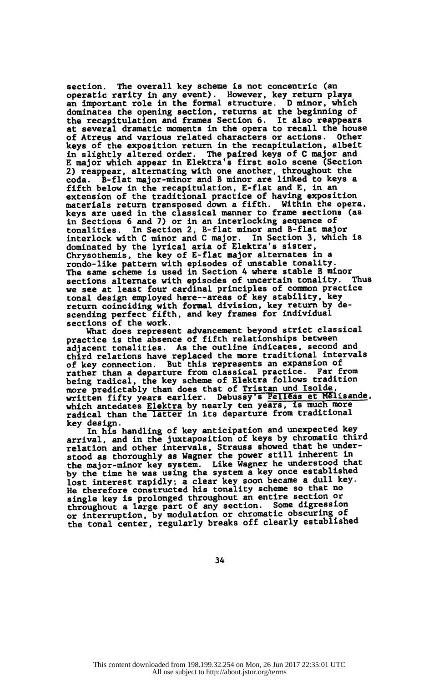section. The overall key scheme is not concentric (an operatic rarity in any event). However, key return plays an important role in the formal structure. D minor, which dominates the opening section, returns at the beginning of the recapitulation and frames Section 6. It also reappears at several dramatic moments in the opera to recall the house of Atreus and various related characters or actions. Other keys of the exposition return in the recapitulation, albeit in slightly altered order. The paired keys of C major and E major which appear in Elektra's first solo scene (Section 2) reappear, alternating with one another, throughout the coda. B-flat major-minor and B minor are linked to keys a fifth below in the recapitulation, E-flat and E, in an extension of the traditional practice of having exposition materials return transposed down a fifth. Within the opera, keys are used in the classical manner to frame sections (as in Sections 6 and 7) or in an interlocking sequence of tonalities. In Section 2, B-flat minor and B-flat major interlock with C minor and C major. In Section 3, which is dominated by the lyrical aria of Elektra's sister, Chrysothemis, the key of E-flat major alternates in a rondo-like pattern with episodes of unstable tonality. The same scheme is used in Section 4 where stable B minor sections alternate with episodes of uncertain tonality. Thus we see at least four cardinal principles of common practice tonal design employed here—areas of key stability, key return coinciding with formal division, key return by descending perfect fifth, and key frames for individual

sections of the work.<br>What does represent advancement beyond strict classical<br>muscles is the channel of fifth relationships between practice is the absence of fifth relationships between adjacent tonalities. As the outline indicates, second and third relations have replaced the more traditional intervals of key connection. But this represents an expansion of rather than a departure from classical practice. Far from being radical, the key scheme of Elektra follows tradition<br>more predictably than does that of Tristan und Isolde, written fifty years earlier. Debussy's Pelléas et Mélisande, which antedates Elektra by nearly ten years, is much more radical than the latter in its departure from traditional key design.

 In his handling of key anticipation and unexpected key arrival, and in the juxtaposition of keys by chromatic third relation and other intervals, Strauss showed that he understood as thoroughly as Wagner the power still innerent in the major-minor key system. Like Wagner he understood that by the time he was using the system a key once established lost interest rapidly; a clear key soon became a dull key. He therefore constructed his tonality scheme so that no single key is prolonged throughout an entire section or throughout a large part of any section. Some digression or interruption, by modulation or chromatic obscuring of the tonal center, regularly breaks off clearly established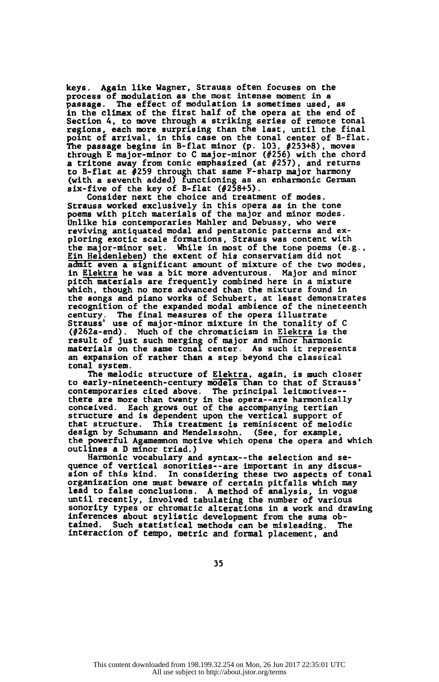keys. Again like Wagner, Strauss often focuses on the process of modulation as the most intense moment in a passage. The effect of modulation is sometimes used, as in the climax of the first half of the opera at the end of Section 4, to move through a striking series of remote tonal regions, each more surprising than the last, until the final point of arrival, in this case on the tonal center of B-flat. The passage begins in B-flat minor (p. 103, #253+8), moves through E major-minor to C major-minor (#256) with the chord a tritone away from tonic emphasized (at #257), and returns to B-flat at #259 through that same F-sharp major harmony (with a seventh added) functioning as an enharmonic German six-five of the key of B-flat  $(4258+5)$ .

 Consider next the choice and treatment of modes. Strauss worked exclusively in this opera as in the tone poems with pitch materials of the major and minor modes. Unlike his contemporaries Mahler and Debussy, who were reviving antiquated modal and pentatonic patterns and ex ploring exotic scale formations, Strauss was content with<br>the major-minor set. While in most of the tone poems (e. While in most of the tone poems  $(e.g.,)$  Ein Heldenleben) the extent of his conservatism did not admit even a significant amount of mixture of the two modes, in Elektra he was a bit more adventurous. Major and minor pitch materials are frequently combined here in a mixture which, though no more advanced than the mixture found in the songs and piano works of Schubert, at least demonstrates recognition of the expanded modal ambience of the nineteenth century. The final measures of the opera illustrate Strauss' use of major-minor mixture in the tonality of C (#262a-end). Much of the chromaticism in Elektra is the result of just such merging of major and minor harmonic materials on the same tonal center. As such it represents an expansion of rather than a step beyond the classical tonal system.

 The melodic structure of Elektra, again, is much closer to early-nineteenth-century models than to that of Strauss' contemporaries cited above. The principal leitmotives--<br>theme are more than twenty in the cases are harmed all there are more than twenty in the opera--are harmonically conceived. Each grows out of the accompanying tertian structure and is dependent upon the vertical support of that structure. This treatment is reminiscent of melodic design by Schumann and Mendelssohn. (See, for example, the powerful Agamemnon motive which opens the opera and which outlines a D minor triad.)

Harmonic vocabulary and syntax--the selection and sequence of vertical sonorities--are important in any discus-<br>sion of this kind. In considering these two aspects of ton In considering these two aspects of tonal organization one must beware of certain pitfalls which may lead to false conclusions. A method of analysis, in vogue until recently, involved tabulating the number of various sonority types or chromatic alterations in a work and drawing inferences about stylistic development from the sums ob-<br>tained. Such statistical methods can be misleading. The Such statistical methods can be misleading. Interaction of tempo, metric and formal placement, and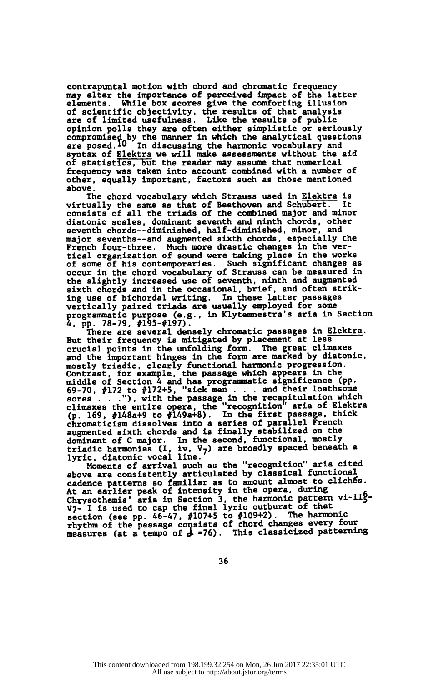contrapuntal motion with chord and chromatic frequency may alter the importance of perceived impact of the latter<br>elements. While box scores give the comforting illusion While box scores give the comforting illusion of scientific objectivity, the results of that analysis are of limited usefulness. Like the results of public opinion polls they are often either simplistic or seriously compromised by the manner in which the analytical questions are posed.lO In discussing the harmonic vocabulary and syntax of Elektra we will make assessments without the aid of statistics, but the reader may assume that numerical frequency was taken into account combined with a number of other, equally important, factors such as those mentioned above.

 The chord vocabulary which Strauss used in Elektra is virtually the same as that of Beethoven and Schubert. It consists of all the triads of the combined major and minor diatonic scales, dominant seventh and ninth chords, other seventh chords—diminished, half-diminished, minor, and major sevenths—and augmented sixth chords, especially the French four-three. Much more drastic changes in the ver tical organization of sound were taking place in the works of some of his contemporaries. Such significant changes as occur in the chord vocabulary of Strauss can be measured in the slightly increased use of seventh, ninth and augmented sixth chords and in the occasional, brief, and often strik ing use of bichordal writing. In these latter passages vertically paired triads are usually employed for some progranmiatic purpose (e.g., in Klytemnestra's aria in Section 4, pp. 78-79, #195-#197).

 There are several densely chromatic passages in Elektra. But their frequency is mitigated by placement at less crucial points in the unfolding form. The great climaxes and the important hinges in the form are marked by diatonic,<br>mostly triadic, clearly functional harmonic progression. mostly triadic, clearly functional harmonic progression. Contrast, for example, the passage which appears in the middle of Section 4 and has programmatic significance (pp. 69-70, #172 to #172+5, "sick men . . . and their loathsome sores . .."), with the passage in the recapitulation which climaxes the entire opera, the "recognition' aria of Elektra (p. 169, #148a+9 to #149a+8). In the first passage, thick chromaticism dissolves into a series of parallel French augmented sixth chords and is finally stabilized on the<br>deministration of Cunion. In the caserd functional mostly dominant of C major. In the second, functional, mostly triadic harmonies (I, iv, V<sub>7</sub>) are broadly spaced beneath a<br>lurie distemie vocal line

lyric, diatonic vocal line.<br>Moments of arrival such as the "recognition" aria cited above are consistently articulated by classical functional cadence patterns so familiar as to amount almost to clichés. At an earlier peak of intensity in the opera, during Chrysothemis' aria in Section 3, the harmonic pattern vi-iig-<br>The second in the final lumic outburst of that V<sub>7</sub>- I is used to cap the final lyric outburst of that<br>inter (see as 46.47, 410715 to 410942). The barmonic section (see pp. 46-47, #107+5 to #109+2). The harmonic<br>rhythm of the passage consists of chord changes every four measures (at a tempo of d- = 76). This classicized patterning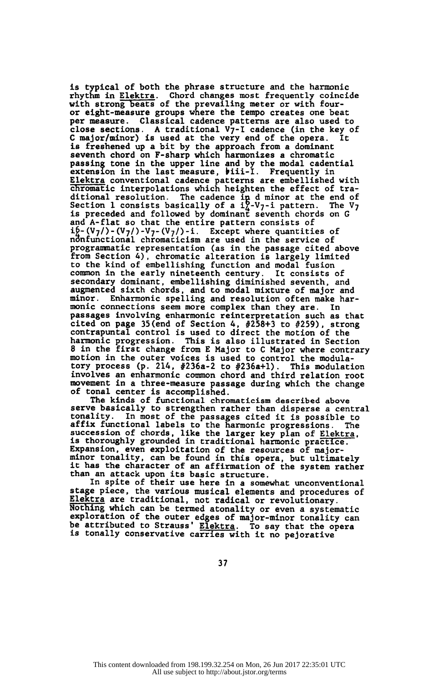is typical of both the phrase structure and the harmonic rhythm in Elektra. Chord changes most frequently coincide with strong beats of the prevailing meter or with four-<br>crisis measure crown there the terms existed are her or eight-measure groups where the tempo creates one beat per measure. Classical cadence patterns are also used to close sections. A traditional  $V_7$ -I cadence (in the key of C major/minor) is used at the very end of the opera. It  $C$  major/minor) is used at the very end of the opera. is freshened up a bit by the approach from a dominant seventh chord on F-sharp which harmonizes a chromatic passing tone in the upper line and by the modal cadential<br>extension in the last measure, biii-I. Frequently in<br>-Elektra conventional cadence patterns are embellished with chromatic interpolations which heighten the effect of trachromatic interpolations which heighten the effect of tra-<br>ditional resolution. The cadence in d minor at the end of<br>Section 1 consists basically of a i<sub>1</sub>-V<sub>7</sub>-i pattern. The V<sub>7</sub><br>is preceded and followed by dominant seve and A-flat so that the entire pattern consists of ib- $(V_7)$ - $(V_7)$ - $V_7$ - $(V_7)$ -i. Except where quantities of<br>nanfunctional obromatician are used in the service of nonfunctional chromaticism are used in the service of programmatic representation (as in the passage cited above from Section 4), chromatic alteration is largely limited to the kind of embellishing function and modal fusion common in the early nineteenth century. It consists of secondary dominant, embellishing diminished seventh, and augmented sixth chords, and to modal mixture of major and minor. Enharmonic spelling and resolution often make har-monic connections seem more complex than they are. In monic connections seem more complex than they are. In passages involving enharmonic reinterpretation such as that passages involving enharmonic reinterpretation such as that cited on page 35(end of Section 4, #258+3 to #259), strong contrapuntal control is used to direct the motion of the harmonic progression. This is also illustrated in Section 8 in the first change from E Major to C Major where contrary motion in the outer voices is used to control the modula tory process (p. 214, #236a-2 to #236a+l). This modulation involves an enharmonic common chord and third relation root movement in a three-measure passage during which the change of tonal center is accomplished.

 The kinds of functional chromaticism described above serve basically to strengthen rather than disperse a central<br>tonality. In most of the passages cited it is possible to In most of the passages cited it is possible to affix functional labels to the harmonic progressions. The succession of chords, like the larger key plan of Elektra.<br>is thoroughly executed in anglicianal increase we transfer is thoroughly grounded in traditional harmonic practice. Expansion, even exploitation of the resources of major minor tonality, can be found in this opera, but ultimately it has the character of an affirmation of the system rather than an attack upon its basic structure.

 In spite of their use here in a somewhat unconventional stage piece, the various musical elements and procedures of Elektra are traditional, not radical or revolutionary. Nothing which can be termed atonality or even a systematic<br>exploration of the suter also af main miss to all which exploration of the outer edges of major-minor tonality can<br>be attributed to Strause' Flaking of Theory in the shift of be attributed to Strauss' Elektra. To say that the opera is tonally conservative carries with it no pejorative